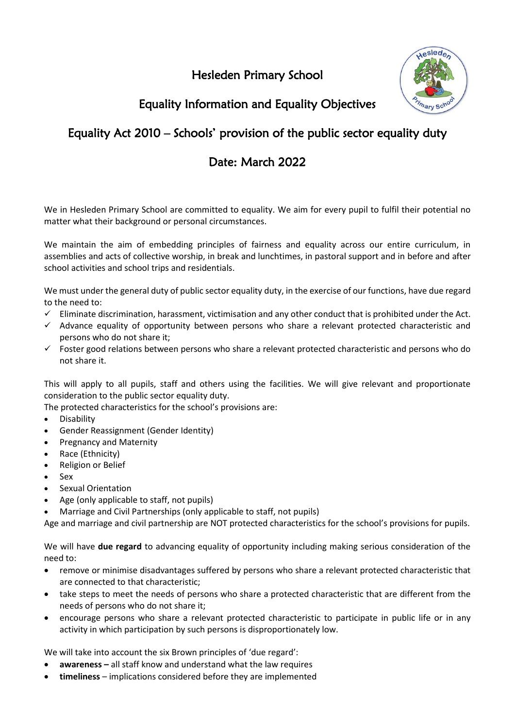Hesleden Primary School



# Equality Information and Equality Objectives

# Equality Act 2010 – Schools' provision of the public sector equality duty

## Date: March 2022

We in Hesleden Primary School are committed to equality. We aim for every pupil to fulfil their potential no matter what their background or personal circumstances.

We maintain the aim of embedding principles of fairness and equality across our entire curriculum, in assemblies and acts of collective worship, in break and lunchtimes, in pastoral support and in before and after school activities and school trips and residentials.

We must under the general duty of public sector equality duty, in the exercise of our functions, have due regard to the need to:

- $\checkmark$  Eliminate discrimination, harassment, victimisation and any other conduct that is prohibited under the Act.
- ✓ Advance equality of opportunity between persons who share a relevant protected characteristic and persons who do not share it;
- ✓ Foster good relations between persons who share a relevant protected characteristic and persons who do not share it.

This will apply to all pupils, staff and others using the facilities. We will give relevant and proportionate consideration to the public sector equality duty.

The protected characteristics for the school's provisions are:

- Disability
- Gender Reassignment (Gender Identity)
- Pregnancy and Maternity
- Race (Ethnicity)
- Religion or Belief
- Sex
- Sexual Orientation
- Age (only applicable to staff, not pupils)
- Marriage and Civil Partnerships (only applicable to staff, not pupils)

Age and marriage and civil partnership are NOT protected characteristics for the school's provisions for pupils.

We will have **due regard** to advancing equality of opportunity including making serious consideration of the need to:

- remove or minimise disadvantages suffered by persons who share a relevant protected characteristic that are connected to that characteristic;
- take steps to meet the needs of persons who share a protected characteristic that are different from the needs of persons who do not share it;
- encourage persons who share a relevant protected characteristic to participate in public life or in any activity in which participation by such persons is disproportionately low.

We will take into account the six Brown principles of 'due regard':

- **awareness –** all staff know and understand what the law requires
- **timeliness**  implications considered before they are implemented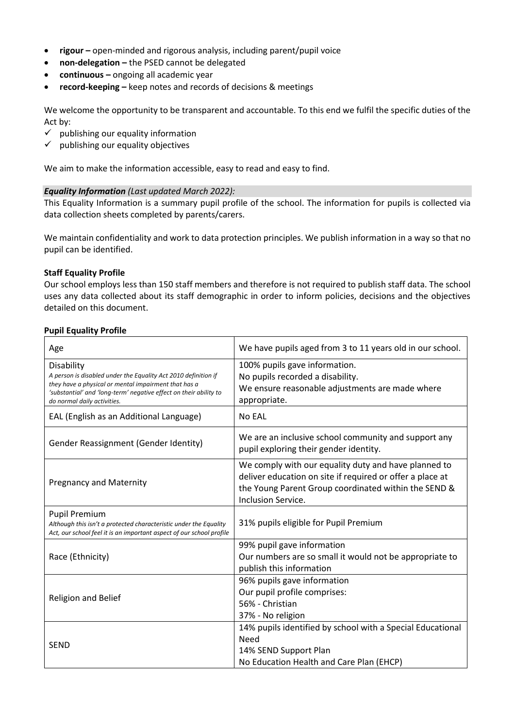- **rigour** open-minded and rigorous analysis, including parent/pupil voice
- **non-delegation –** the PSED cannot be delegated
- **continuous –** ongoing all academic year
- **record-keeping –** keep notes and records of decisions & meetings

We welcome the opportunity to be transparent and accountable. To this end we fulfil the specific duties of the Act by:

- $\checkmark$  publishing our equality information
- $\checkmark$  publishing our equality objectives

We aim to make the information accessible, easy to read and easy to find.

#### *Equality Information (Last updated March 2022):*

This Equality Information is a summary pupil profile of the school. The information for pupils is collected via data collection sheets completed by parents/carers.

We maintain confidentiality and work to data protection principles. We publish information in a way so that no pupil can be identified.

#### **Staff Equality Profile**

Our school employs less than 150 staff members and therefore is not required to publish staff data. The school uses any data collected about its staff demographic in order to inform policies, decisions and the objectives detailed on this document.

### **Pupil Equality Profile**

| Age                                                                                                                                                                                                                                             | We have pupils aged from 3 to 11 years old in our school.                                                                                                                                       |
|-------------------------------------------------------------------------------------------------------------------------------------------------------------------------------------------------------------------------------------------------|-------------------------------------------------------------------------------------------------------------------------------------------------------------------------------------------------|
| <b>Disability</b><br>A person is disabled under the Equality Act 2010 definition if<br>they have a physical or mental impairment that has a<br>'substantial' and 'long-term' negative effect on their ability to<br>do normal daily activities. | 100% pupils gave information.<br>No pupils recorded a disability.<br>We ensure reasonable adjustments are made where<br>appropriate.                                                            |
| EAL (English as an Additional Language)                                                                                                                                                                                                         | No EAL                                                                                                                                                                                          |
| Gender Reassignment (Gender Identity)                                                                                                                                                                                                           | We are an inclusive school community and support any<br>pupil exploring their gender identity.                                                                                                  |
| <b>Pregnancy and Maternity</b>                                                                                                                                                                                                                  | We comply with our equality duty and have planned to<br>deliver education on site if required or offer a place at<br>the Young Parent Group coordinated within the SEND &<br>Inclusion Service. |
| <b>Pupil Premium</b><br>Although this isn't a protected characteristic under the Equality<br>Act, our school feel it is an important aspect of our school profile                                                                               | 31% pupils eligible for Pupil Premium                                                                                                                                                           |
| Race (Ethnicity)                                                                                                                                                                                                                                | 99% pupil gave information<br>Our numbers are so small it would not be appropriate to<br>publish this information                                                                               |
| Religion and Belief                                                                                                                                                                                                                             | 96% pupils gave information<br>Our pupil profile comprises:<br>56% - Christian<br>37% - No religion                                                                                             |
| <b>SEND</b>                                                                                                                                                                                                                                     | 14% pupils identified by school with a Special Educational<br>Need<br>14% SEND Support Plan<br>No Education Health and Care Plan (EHCP)                                                         |